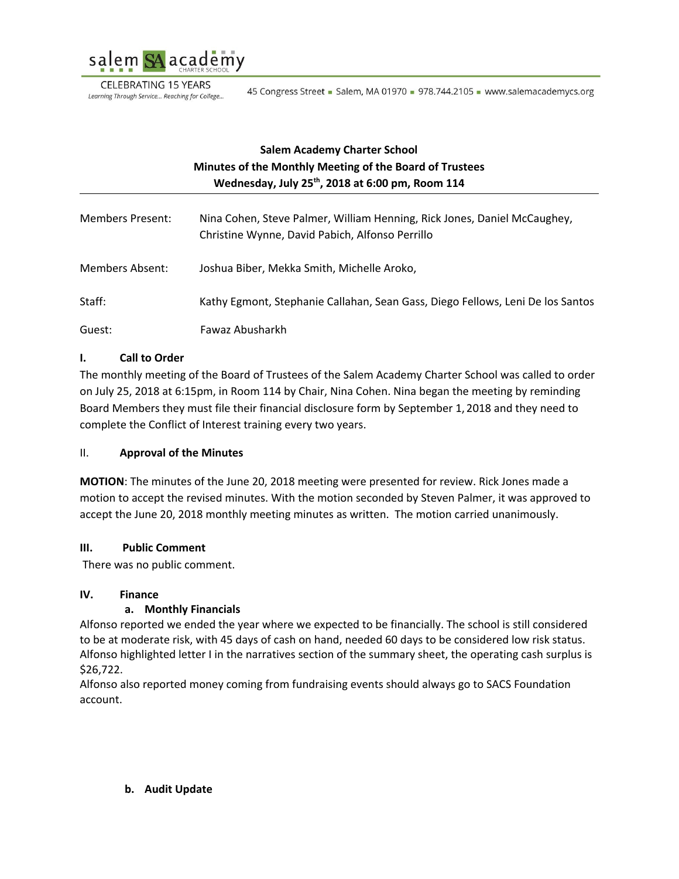

**CELEBRATING 15 YEARS** Learning Through Service... Reaching for College...

45 Congress Street - Salem, MA 01970 - 978.744.2105 - www.salemacademycs.org

# **Salem Academy Charter School Minutes of the Monthly Meeting of the Board of Trustees Wednesday, July 25 th , 2018 at 6:00 pm, Room 114**

| Members Present: | Nina Cohen, Steve Palmer, William Henning, Rick Jones, Daniel McCaughey,<br>Christine Wynne, David Pabich, Alfonso Perrillo |
|------------------|-----------------------------------------------------------------------------------------------------------------------------|
| Members Absent:  | Joshua Biber, Mekka Smith, Michelle Aroko,                                                                                  |
| Staff:           | Kathy Egmont, Stephanie Callahan, Sean Gass, Diego Fellows, Leni De los Santos                                              |
| Guest:           | Fawaz Abusharkh                                                                                                             |

# **I. Call to Order**

The monthly meeting of the Board of Trustees of the Salem Academy Charter School was called to order on July 25, 2018 at 6:15pm, in Room 114 by Chair, Nina Cohen. Nina began the meeting by reminding Board Members they must file their financial disclosure form by September 1, 2018 and they need to complete the Conflict of Interest training every two years.

### II. **Approval of the Minutes**

**MOTION**: The minutes of the June 20, 2018 meeting were presented for review. Rick Jones made a motion to accept the revised minutes. With the motion seconded by Steven Palmer, it was approved to accept the June 20, 2018 monthly meeting minutes as written. The motion carried unanimously.

### **III. Public Comment**

There was no public comment.

### **IV. Finance**

# **a. Monthly Financials**

Alfonso reported we ended the year where we expected to be financially. The school is still considered to be at moderate risk, with 45 days of cash on hand, needed 60 days to be considered low risk status. Alfonso highlighted letter I in the narratives section of the summary sheet, the operating cash surplus is \$26,722.

Alfonso also reported money coming from fundraising events should always go to SACS Foundation account.

### **b. Audit Update**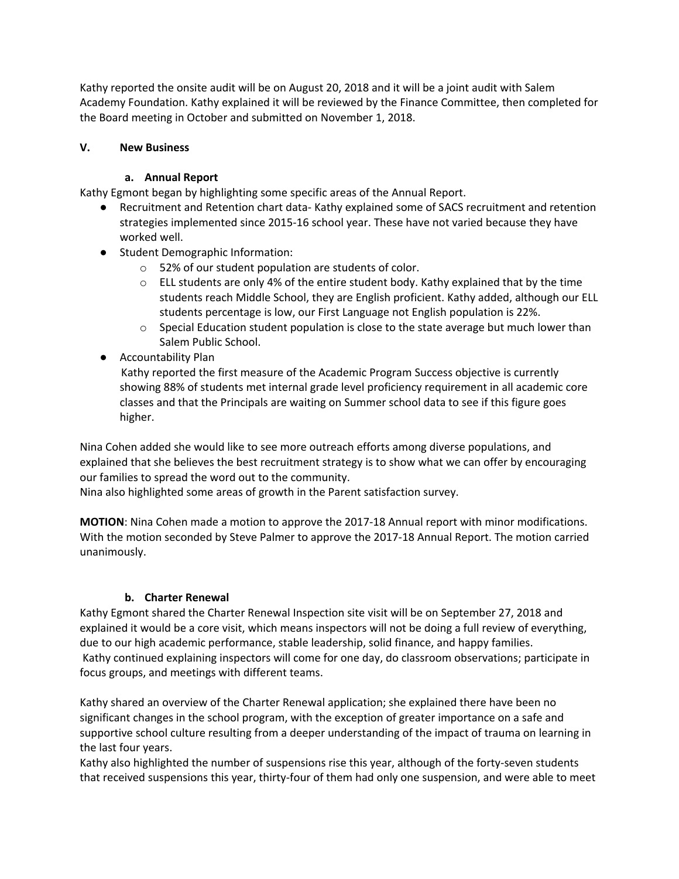Kathy reported the onsite audit will be on August 20, 2018 and it will be a joint audit with Salem Academy Foundation. Kathy explained it will be reviewed by the Finance Committee, then completed for the Board meeting in October and submitted on November 1, 2018.

# **V. New Business**

# **a. Annual Report**

Kathy Egmont began by highlighting some specific areas of the Annual Report.

- Recruitment and Retention chart data- Kathy explained some of SACS recruitment and retention strategies implemented since 2015-16 school year. These have not varied because they have worked well.
- Student Demographic Information:
	- o 52% of our student population are students of color.
	- $\circ$  ELL students are only 4% of the entire student body. Kathy explained that by the time students reach Middle School, they are English proficient. Kathy added, although our ELL students percentage is low, our First Language not English population is 22%.
	- $\circ$  Special Education student population is close to the state average but much lower than Salem Public School.
- Accountability Plan

Kathy reported the first measure of the Academic Program Success objective is currently showing 88% of students met internal grade level proficiency requirement in all academic core classes and that the Principals are waiting on Summer school data to see if this figure goes higher.

Nina Cohen added she would like to see more outreach efforts among diverse populations, and explained that she believes the best recruitment strategy is to show what we can offer by encouraging our families to spread the word out to the community.

Nina also highlighted some areas of growth in the Parent satisfaction survey.

**MOTION**: Nina Cohen made a motion to approve the 2017-18 Annual report with minor modifications. With the motion seconded by Steve Palmer to approve the 2017-18 Annual Report. The motion carried unanimously.

# **b. Charter Renewal**

Kathy Egmont shared the Charter Renewal Inspection site visit will be on September 27, 2018 and explained it would be a core visit, which means inspectors will not be doing a full review of everything, due to our high academic performance, stable leadership, solid finance, and happy families. Kathy continued explaining inspectors will come for one day, do classroom observations; participate in focus groups, and meetings with different teams.

Kathy shared an overview of the Charter Renewal application; she explained there have been no significant changes in the school program, with the exception of greater importance on a safe and supportive school culture resulting from a deeper understanding of the impact of trauma on learning in the last four years.

Kathy also highlighted the number of suspensions rise this year, although of the forty-seven students that received suspensions this year, thirty-four of them had only one suspension, and were able to meet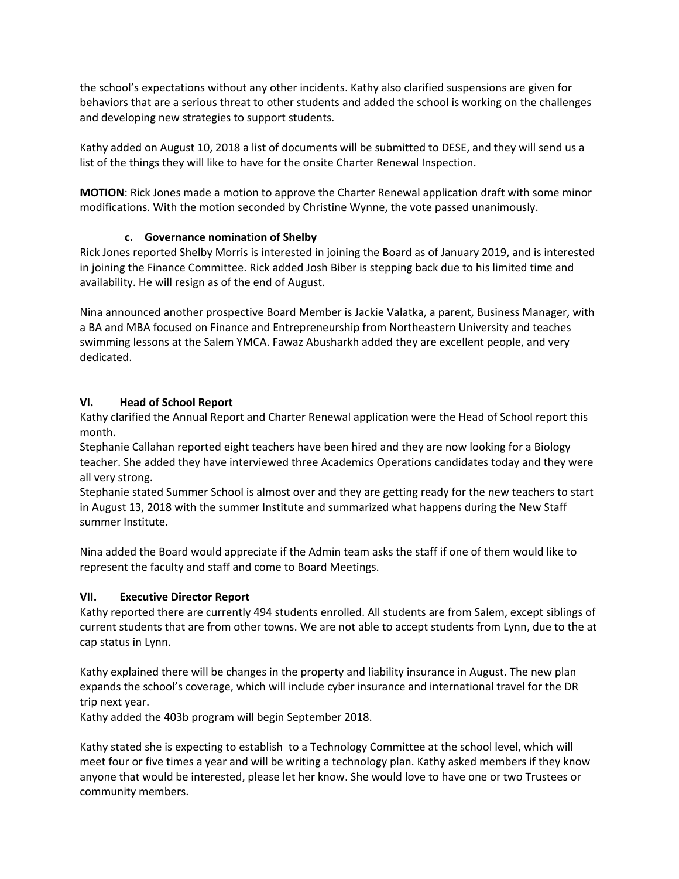the school's expectations without any other incidents. Kathy also clarified suspensions are given for behaviors that are a serious threat to other students and added the school is working on the challenges and developing new strategies to support students.

Kathy added on August 10, 2018 a list of documents will be submitted to DESE, and they will send us a list of the things they will like to have for the onsite Charter Renewal Inspection.

**MOTION**: Rick Jones made a motion to approve the Charter Renewal application draft with some minor modifications. With the motion seconded by Christine Wynne, the vote passed unanimously.

# **c. Governance nomination of Shelby**

Rick Jones reported Shelby Morris is interested in joining the Board as of January 2019, and is interested in joining the Finance Committee. Rick added Josh Biber is stepping back due to his limited time and availability. He will resign as of the end of August.

Nina announced another prospective Board Member is Jackie Valatka, a parent, Business Manager, with a BA and MBA focused on Finance and Entrepreneurship from Northeastern University and teaches swimming lessons at the Salem YMCA. Fawaz Abusharkh added they are excellent people, and very dedicated.

# **VI. Head of School Report**

Kathy clarified the Annual Report and Charter Renewal application were the Head of School report this month.

Stephanie Callahan reported eight teachers have been hired and they are now looking for a Biology teacher. She added they have interviewed three Academics Operations candidates today and they were all very strong.

Stephanie stated Summer School is almost over and they are getting ready for the new teachers to start in August 13, 2018 with the summer Institute and summarized what happens during the New Staff summer Institute.

Nina added the Board would appreciate if the Admin team asks the staff if one of them would like to represent the faculty and staff and come to Board Meetings.

### **VII. Executive Director Report**

Kathy reported there are currently 494 students enrolled. All students are from Salem, except siblings of current students that are from other towns. We are not able to accept students from Lynn, due to the at cap status in Lynn.

Kathy explained there will be changes in the property and liability insurance in August. The new plan expands the school's coverage, which will include cyber insurance and international travel for the DR trip next year.

Kathy added the 403b program will begin September 2018.

Kathy stated she is expecting to establish to a Technology Committee at the school level, which will meet four or five times a year and will be writing a technology plan. Kathy asked members if they know anyone that would be interested, please let her know. She would love to have one or two Trustees or community members.